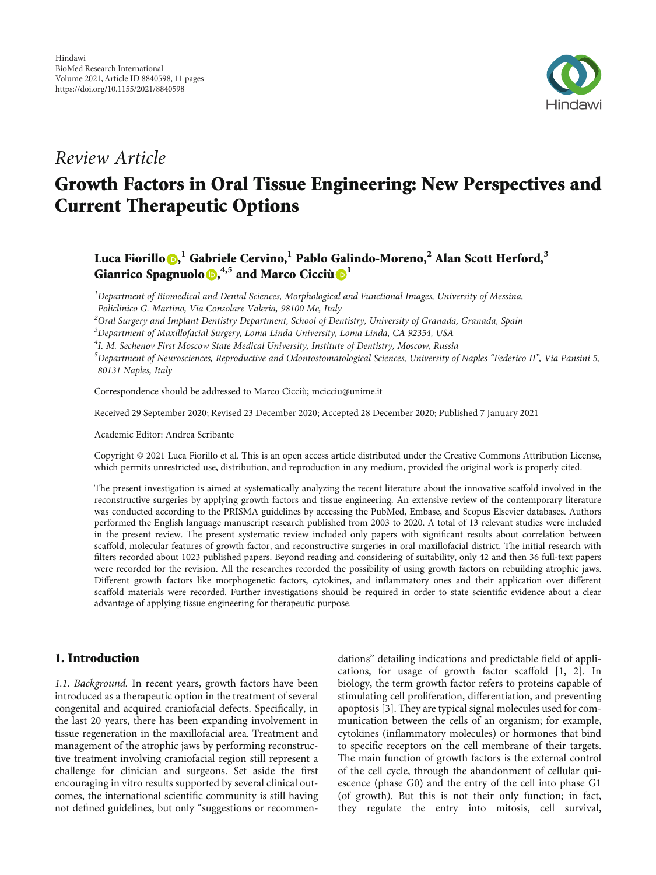

# Review Article

# Growth Factors in Oral Tissue Engineering: New Perspectives and Current Therapeutic Options

# Luca Fiorillo [,](https://orcid.org/0000-0003-0335-4165) **<sup>1</sup>** Gabriele Cervino,**<sup>1</sup>** Pablo Galindo-Moreno,**<sup>2</sup>** Alan Scott Herford,**<sup>3</sup>** Gianrico Spagnuolo<sup>®[,](https://orcid.org/0000-0003-3769-9786)4,5</sup> and Marco Cicciù<sup>®</sup>

 $^{\text{1}}$ Department of Biomedical and Dental Sciences, Morphological and Functional Images, University of Messina, Policlinico G. Martino, Via Consolare Valeria, 98100 Me, Italy

 $^2$ Oral Surgery and Implant Dentistry Department, School of Dentistry, University of Granada, Granada, Spain

 $^3$ Department of Maxillofacial Surgery, Loma Linda University, Loma Linda, CA 92354, USA

<sup>4</sup>I. M. Sechenov First Moscow State Medical University, Institute of Dentistry, Moscow, Russia

<sup>5</sup>Department of Neurosciences, Reproductive and Odontostomatological Sciences, University of Naples "Federico II", Via Pansini 5, 80131 Naples, Italy

Correspondence should be addressed to Marco Cicciù; mcicciu@unime.it

Received 29 September 2020; Revised 23 December 2020; Accepted 28 December 2020; Published 7 January 2021

Academic Editor: Andrea Scribante

Copyright © 2021 Luca Fiorillo et al. This is an open access article distributed under the [Creative Commons Attribution License](https://creativecommons.org/licenses/by/4.0/), which permits unrestricted use, distribution, and reproduction in any medium, provided the original work is properly cited.

The present investigation is aimed at systematically analyzing the recent literature about the innovative scaffold involved in the reconstructive surgeries by applying growth factors and tissue engineering. An extensive review of the contemporary literature was conducted according to the PRISMA guidelines by accessing the PubMed, Embase, and Scopus Elsevier databases. Authors performed the English language manuscript research published from 2003 to 2020. A total of 13 relevant studies were included in the present review. The present systematic review included only papers with significant results about correlation between scaffold, molecular features of growth factor, and reconstructive surgeries in oral maxillofacial district. The initial research with filters recorded about 1023 published papers. Beyond reading and considering of suitability, only 42 and then 36 full-text papers were recorded for the revision. All the researches recorded the possibility of using growth factors on rebuilding atrophic jaws. Different growth factors like morphogenetic factors, cytokines, and inflammatory ones and their application over different scaffold materials were recorded. Further investigations should be required in order to state scientific evidence about a clear advantage of applying tissue engineering for therapeutic purpose.

# 1. Introduction

1.1. Background. In recent years, growth factors have been introduced as a therapeutic option in the treatment of several congenital and acquired craniofacial defects. Specifically, in the last 20 years, there has been expanding involvement in tissue regeneration in the maxillofacial area. Treatment and management of the atrophic jaws by performing reconstructive treatment involving craniofacial region still represent a challenge for clinician and surgeons. Set aside the first encouraging in vitro results supported by several clinical outcomes, the international scientific community is still having not defined guidelines, but only "suggestions or recommendations" detailing indications and predictable field of applications, for usage of growth factor scaffold [\[1, 2](#page-8-0)]. In biology, the term growth factor refers to proteins capable of stimulating cell proliferation, differentiation, and preventing apoptosis [\[3\]](#page-8-0). They are typical signal molecules used for communication between the cells of an organism; for example, cytokines (inflammatory molecules) or hormones that bind to specific receptors on the cell membrane of their targets. The main function of growth factors is the external control of the cell cycle, through the abandonment of cellular quiescence (phase G0) and the entry of the cell into phase G1 (of growth). But this is not their only function; in fact, they regulate the entry into mitosis, cell survival,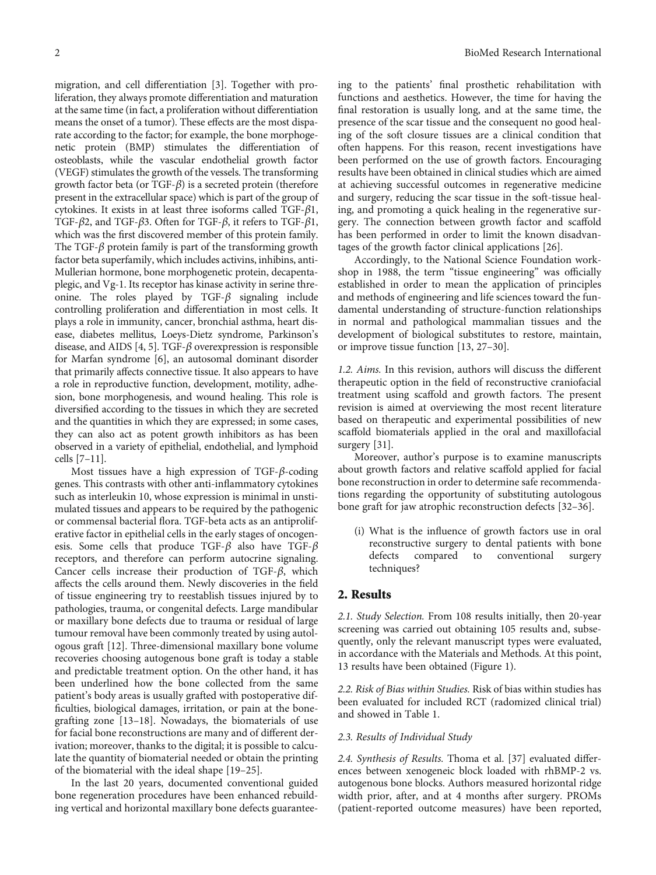migration, and cell differentiation [[3\]](#page-8-0). Together with proliferation, they always promote differentiation and maturation at the same time (in fact, a proliferation without differentiation means the onset of a tumor). These effects are the most disparate according to the factor; for example, the bone morphogenetic protein (BMP) stimulates the differentiation of osteoblasts, while the vascular endothelial growth factor (VEGF) stimulates the growth of the vessels. The transforming growth factor beta (or TGF-*β*) is a secreted protein (therefore present in the extracellular space) which is part of the group of cytokines. It exists in at least three isoforms called TGF-*β*1, TGF-*β*2, and TGF-*β*3. Often for TGF-*β*, it refers to TGF-*β*1, which was the first discovered member of this protein family. The TGF-*β* protein family is part of the transforming growth factor beta superfamily, which includes activins, inhibins, anti-Mullerian hormone, bone morphogenetic protein, decapentaplegic, and Vg-1. Its receptor has kinase activity in serine threonine. The roles played by TGF-*β* signaling include controlling proliferation and differentiation in most cells. It plays a role in immunity, cancer, bronchial asthma, heart disease, diabetes mellitus, Loeys-Dietz syndrome, Parkinson's disease, and AIDS [\[4](#page-8-0), [5](#page-8-0)]. TGF-*β* overexpression is responsible for Marfan syndrome [\[6](#page-8-0)], an autosomal dominant disorder that primarily affects connective tissue. It also appears to have a role in reproductive function, development, motility, adhesion, bone morphogenesis, and wound healing. This role is diversified according to the tissues in which they are secreted and the quantities in which they are expressed; in some cases, they can also act as potent growth inhibitors as has been observed in a variety of epithelial, endothelial, and lymphoid cells [[7](#page-8-0)–[11\]](#page-8-0).

Most tissues have a high expression of TGF-*β*-coding genes. This contrasts with other anti-inflammatory cytokines such as interleukin 10, whose expression is minimal in unstimulated tissues and appears to be required by the pathogenic or commensal bacterial flora. TGF-beta acts as an antiproliferative factor in epithelial cells in the early stages of oncogenesis. Some cells that produce TGF-*β* also have TGF-*β* receptors, and therefore can perform autocrine signaling. Cancer cells increase their production of TGF-*β*, which affects the cells around them. Newly discoveries in the field of tissue engineering try to reestablish tissues injured by to pathologies, trauma, or congenital defects. Large mandibular or maxillary bone defects due to trauma or residual of large tumour removal have been commonly treated by using autologous graft [\[12\]](#page-8-0). Three-dimensional maxillary bone volume recoveries choosing autogenous bone graft is today a stable and predictable treatment option. On the other hand, it has been underlined how the bone collected from the same patient's body areas is usually grafted with postoperative difficulties, biological damages, irritation, or pain at the bonegrafting zone [\[13](#page-8-0)–[18\]](#page-8-0). Nowadays, the biomaterials of use for facial bone reconstructions are many and of different derivation; moreover, thanks to the digital; it is possible to calculate the quantity of biomaterial needed or obtain the printing of the biomaterial with the ideal shape [\[19](#page-8-0)–[25](#page-8-0)].

In the last 20 years, documented conventional guided bone regeneration procedures have been enhanced rebuilding vertical and horizontal maxillary bone defects guarantee-

ing to the patients' final prosthetic rehabilitation with functions and aesthetics. However, the time for having the final restoration is usually long, and at the same time, the presence of the scar tissue and the consequent no good healing of the soft closure tissues are a clinical condition that often happens. For this reason, recent investigations have been performed on the use of growth factors. Encouraging results have been obtained in clinical studies which are aimed at achieving successful outcomes in regenerative medicine and surgery, reducing the scar tissue in the soft-tissue healing, and promoting a quick healing in the regenerative surgery. The connection between growth factor and scaffold has been performed in order to limit the known disadvantages of the growth factor clinical applications [[26](#page-8-0)].

Accordingly, to the National Science Foundation workshop in 1988, the term "tissue engineering" was officially established in order to mean the application of principles and methods of engineering and life sciences toward the fundamental understanding of structure-function relationships in normal and pathological mammalian tissues and the development of biological substitutes to restore, maintain, or improve tissue function [\[13,](#page-8-0) [27](#page-9-0)–[30](#page-9-0)].

1.2. Aims. In this revision, authors will discuss the different therapeutic option in the field of reconstructive craniofacial treatment using scaffold and growth factors. The present revision is aimed at overviewing the most recent literature based on therapeutic and experimental possibilities of new scaffold biomaterials applied in the oral and maxillofacial surgery [[31](#page-9-0)].

Moreover, author's purpose is to examine manuscripts about growth factors and relative scaffold applied for facial bone reconstruction in order to determine safe recommendations regarding the opportunity of substituting autologous bone graft for jaw atrophic reconstruction defects [[32](#page-9-0)–[36\]](#page-9-0).

(i) What is the influence of growth factors use in oral reconstructive surgery to dental patients with bone defects compared to conventional surgery techniques?

#### 2. Results

2.1. Study Selection. From 108 results initially, then 20-year screening was carried out obtaining 105 results and, subsequently, only the relevant manuscript types were evaluated, in accordance with the Materials and Methods. At this point, 13 results have been obtained (Figure [1](#page-2-0)).

2.2. Risk of Bias within Studies. Risk of bias within studies has been evaluated for included RCT (radomized clinical trial) and showed in Table [1.](#page-2-0)

#### 2.3. Results of Individual Study

2.4. Synthesis of Results. Thoma et al. [[37](#page-9-0)] evaluated differences between xenogeneic block loaded with rhBMP-2 vs. autogenous bone blocks. Authors measured horizontal ridge width prior, after, and at 4 months after surgery. PROMs (patient-reported outcome measures) have been reported,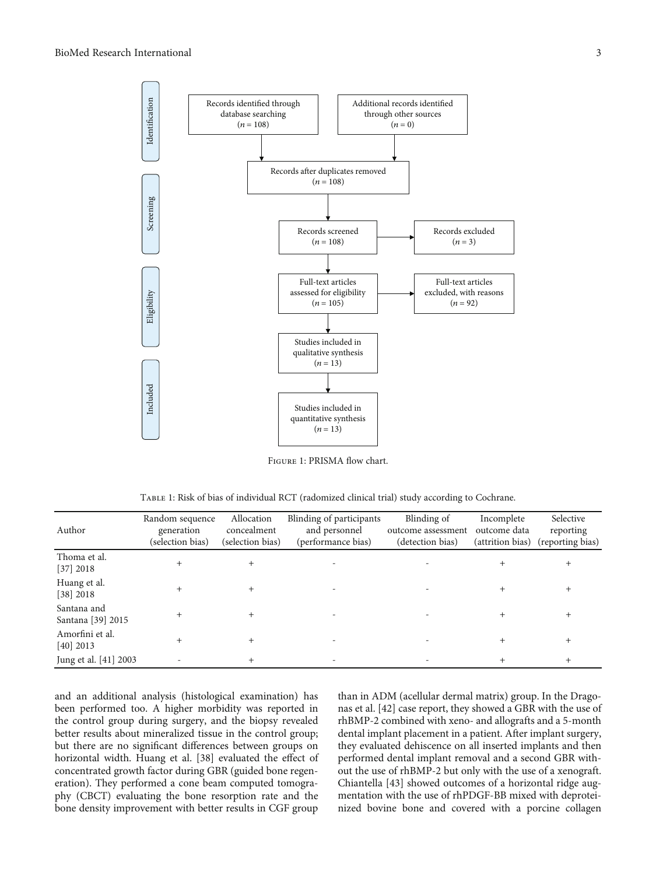<span id="page-2-0"></span>

Figure 1: PRISMA flow chart.

| TABLE 1: Risk of bias of individual RCT (radomized clinical trial) study according to Cochrane. |  |  |  |  |
|-------------------------------------------------------------------------------------------------|--|--|--|--|
|                                                                                                 |  |  |  |  |

| Author                           | Random sequence<br>generation<br>(selection bias) | Allocation<br>concealment<br>(selection bias) | Blinding of participants<br>and personnel<br>(performance bias) | Blinding of<br>outcome assessment<br>(detection bias) | Incomplete<br>outcome data<br>(attrition bias) | Selective<br>reporting<br>(reporting bias) |
|----------------------------------|---------------------------------------------------|-----------------------------------------------|-----------------------------------------------------------------|-------------------------------------------------------|------------------------------------------------|--------------------------------------------|
| Thoma et al.<br>[37] 2018        |                                                   |                                               |                                                                 |                                                       |                                                |                                            |
| Huang et al.<br>[38] 2018        |                                                   |                                               |                                                                 |                                                       |                                                |                                            |
| Santana and<br>Santana [39] 2015 |                                                   |                                               |                                                                 |                                                       |                                                |                                            |
| Amorfini et al.<br>$[40]$ 2013   |                                                   |                                               |                                                                 |                                                       |                                                | +                                          |
| Jung et al. [41] 2003            |                                                   |                                               |                                                                 |                                                       |                                                |                                            |

and an additional analysis (histological examination) has been performed too. A higher morbidity was reported in the control group during surgery, and the biopsy revealed better results about mineralized tissue in the control group; but there are no significant differences between groups on horizontal width. Huang et al. [[38\]](#page-9-0) evaluated the effect of concentrated growth factor during GBR (guided bone regeneration). They performed a cone beam computed tomography (CBCT) evaluating the bone resorption rate and the bone density improvement with better results in CGF group

than in ADM (acellular dermal matrix) group. In the Dragonas et al. [[42\]](#page-9-0) case report, they showed a GBR with the use of rhBMP-2 combined with xeno- and allografts and a 5-month dental implant placement in a patient. After implant surgery, they evaluated dehiscence on all inserted implants and then performed dental implant removal and a second GBR without the use of rhBMP-2 but only with the use of a xenograft. Chiantella [\[43\]](#page-9-0) showed outcomes of a horizontal ridge augmentation with the use of rhPDGF-BB mixed with deproteinized bovine bone and covered with a porcine collagen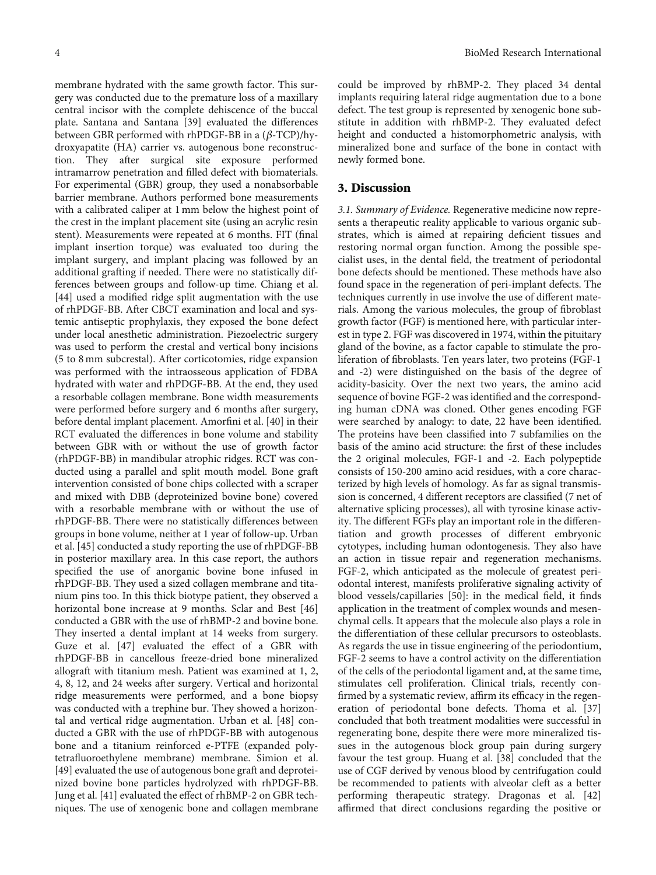membrane hydrated with the same growth factor. This surgery was conducted due to the premature loss of a maxillary central incisor with the complete dehiscence of the buccal plate. Santana and Santana [\[39](#page-9-0)] evaluated the differences between GBR performed with rhPDGF-BB in a (*β*-TCP)/hydroxyapatite (HA) carrier vs. autogenous bone reconstruction. They after surgical site exposure performed intramarrow penetration and filled defect with biomaterials. For experimental (GBR) group, they used a nonabsorbable barrier membrane. Authors performed bone measurements with a calibrated caliper at 1 mm below the highest point of the crest in the implant placement site (using an acrylic resin stent). Measurements were repeated at 6 months. FIT (final implant insertion torque) was evaluated too during the implant surgery, and implant placing was followed by an additional grafting if needed. There were no statistically differences between groups and follow-up time. Chiang et al. [\[44](#page-9-0)] used a modified ridge split augmentation with the use of rhPDGF-BB. After CBCT examination and local and systemic antiseptic prophylaxis, they exposed the bone defect under local anesthetic administration. Piezoelectric surgery was used to perform the crestal and vertical bony incisions (5 to 8 mm subcrestal). After corticotomies, ridge expansion was performed with the intraosseous application of FDBA hydrated with water and rhPDGF-BB. At the end, they used a resorbable collagen membrane. Bone width measurements were performed before surgery and 6 months after surgery, before dental implant placement. Amorfini et al. [[40](#page-9-0)] in their RCT evaluated the differences in bone volume and stability between GBR with or without the use of growth factor (rhPDGF-BB) in mandibular atrophic ridges. RCT was conducted using a parallel and split mouth model. Bone graft intervention consisted of bone chips collected with a scraper and mixed with DBB (deproteinized bovine bone) covered with a resorbable membrane with or without the use of rhPDGF-BB. There were no statistically differences between groups in bone volume, neither at 1 year of follow-up. Urban et al. [[45](#page-9-0)] conducted a study reporting the use of rhPDGF-BB in posterior maxillary area. In this case report, the authors specified the use of anorganic bovine bone infused in rhPDGF-BB. They used a sized collagen membrane and titanium pins too. In this thick biotype patient, they observed a horizontal bone increase at 9 months. Sclar and Best [\[46\]](#page-9-0) conducted a GBR with the use of rhBMP-2 and bovine bone. They inserted a dental implant at 14 weeks from surgery. Guze et al. [[47](#page-9-0)] evaluated the effect of a GBR with rhPDGF-BB in cancellous freeze-dried bone mineralized allograft with titanium mesh. Patient was examined at 1, 2, 4, 8, 12, and 24 weeks after surgery. Vertical and horizontal ridge measurements were performed, and a bone biopsy was conducted with a trephine bur. They showed a horizontal and vertical ridge augmentation. Urban et al. [\[48\]](#page-9-0) conducted a GBR with the use of rhPDGF-BB with autogenous bone and a titanium reinforced e-PTFE (expanded polytetrafluoroethylene membrane) membrane. Simion et al. [\[49](#page-9-0)] evaluated the use of autogenous bone graft and deproteinized bovine bone particles hydrolyzed with rhPDGF-BB. Jung et al. [[41](#page-9-0)] evaluated the effect of rhBMP-2 on GBR techniques. The use of xenogenic bone and collagen membrane could be improved by rhBMP-2. They placed 34 dental implants requiring lateral ridge augmentation due to a bone defect. The test group is represented by xenogenic bone substitute in addition with rhBMP-2. They evaluated defect height and conducted a histomorphometric analysis, with mineralized bone and surface of the bone in contact with newly formed bone.

#### 3. Discussion

3.1. Summary of Evidence. Regenerative medicine now represents a therapeutic reality applicable to various organic substrates, which is aimed at repairing deficient tissues and restoring normal organ function. Among the possible specialist uses, in the dental field, the treatment of periodontal bone defects should be mentioned. These methods have also found space in the regeneration of peri-implant defects. The techniques currently in use involve the use of different materials. Among the various molecules, the group of fibroblast growth factor (FGF) is mentioned here, with particular interest in type 2. FGF was discovered in 1974, within the pituitary gland of the bovine, as a factor capable to stimulate the proliferation of fibroblasts. Ten years later, two proteins (FGF-1 and -2) were distinguished on the basis of the degree of acidity-basicity. Over the next two years, the amino acid sequence of bovine FGF-2 was identified and the corresponding human cDNA was cloned. Other genes encoding FGF were searched by analogy: to date, 22 have been identified. The proteins have been classified into 7 subfamilies on the basis of the amino acid structure: the first of these includes the 2 original molecules, FGF-1 and -2. Each polypeptide consists of 150-200 amino acid residues, with a core characterized by high levels of homology. As far as signal transmission is concerned, 4 different receptors are classified (7 net of alternative splicing processes), all with tyrosine kinase activity. The different FGFs play an important role in the differentiation and growth processes of different embryonic cytotypes, including human odontogenesis. They also have an action in tissue repair and regeneration mechanisms. FGF-2, which anticipated as the molecule of greatest periodontal interest, manifests proliferative signaling activity of blood vessels/capillaries [\[50\]](#page-9-0): in the medical field, it finds application in the treatment of complex wounds and mesenchymal cells. It appears that the molecule also plays a role in the differentiation of these cellular precursors to osteoblasts. As regards the use in tissue engineering of the periodontium, FGF-2 seems to have a control activity on the differentiation of the cells of the periodontal ligament and, at the same time, stimulates cell proliferation. Clinical trials, recently confirmed by a systematic review, affirm its efficacy in the regeneration of periodontal bone defects. Thoma et al. [[37\]](#page-9-0) concluded that both treatment modalities were successful in regenerating bone, despite there were more mineralized tissues in the autogenous block group pain during surgery favour the test group. Huang et al. [[38](#page-9-0)] concluded that the use of CGF derived by venous blood by centrifugation could be recommended to patients with alveolar cleft as a better performing therapeutic strategy. Dragonas et al. [[42\]](#page-9-0) affirmed that direct conclusions regarding the positive or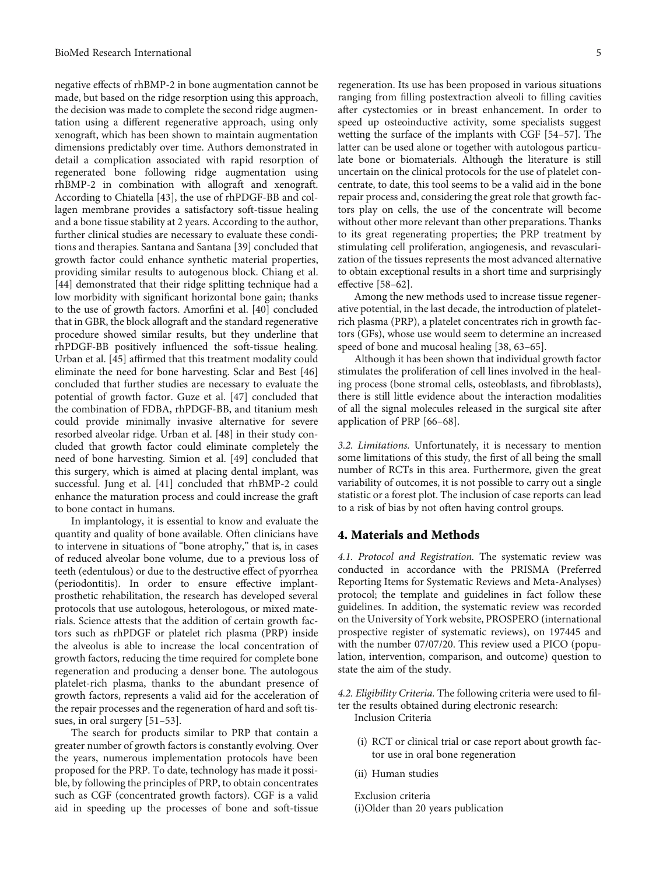negative effects of rhBMP-2 in bone augmentation cannot be made, but based on the ridge resorption using this approach, the decision was made to complete the second ridge augmentation using a different regenerative approach, using only xenograft, which has been shown to maintain augmentation dimensions predictably over time. Authors demonstrated in detail a complication associated with rapid resorption of regenerated bone following ridge augmentation using rhBMP-2 in combination with allograft and xenograft. According to Chiatella [[43](#page-9-0)], the use of rhPDGF-BB and collagen membrane provides a satisfactory soft-tissue healing and a bone tissue stability at 2 years. According to the author, further clinical studies are necessary to evaluate these conditions and therapies. Santana and Santana [\[39\]](#page-9-0) concluded that growth factor could enhance synthetic material properties, providing similar results to autogenous block. Chiang et al. [\[44](#page-9-0)] demonstrated that their ridge splitting technique had a low morbidity with significant horizontal bone gain; thanks to the use of growth factors. Amorfini et al. [[40](#page-9-0)] concluded that in GBR, the block allograft and the standard regenerative procedure showed similar results, but they underline that rhPDGF-BB positively influenced the soft-tissue healing. Urban et al. [[45](#page-9-0)] affirmed that this treatment modality could eliminate the need for bone harvesting. Sclar and Best [[46\]](#page-9-0) concluded that further studies are necessary to evaluate the potential of growth factor. Guze et al. [[47](#page-9-0)] concluded that the combination of FDBA, rhPDGF-BB, and titanium mesh could provide minimally invasive alternative for severe resorbed alveolar ridge. Urban et al. [\[48\]](#page-9-0) in their study concluded that growth factor could eliminate completely the need of bone harvesting. Simion et al. [[49](#page-9-0)] concluded that this surgery, which is aimed at placing dental implant, was successful. Jung et al. [[41](#page-9-0)] concluded that rhBMP-2 could enhance the maturation process and could increase the graft to bone contact in humans.

In implantology, it is essential to know and evaluate the quantity and quality of bone available. Often clinicians have to intervene in situations of "bone atrophy," that is, in cases of reduced alveolar bone volume, due to a previous loss of teeth (edentulous) or due to the destructive effect of pyorrhea (periodontitis). In order to ensure effective implantprosthetic rehabilitation, the research has developed several protocols that use autologous, heterologous, or mixed materials. Science attests that the addition of certain growth factors such as rhPDGF or platelet rich plasma (PRP) inside the alveolus is able to increase the local concentration of growth factors, reducing the time required for complete bone regeneration and producing a denser bone. The autologous platelet-rich plasma, thanks to the abundant presence of growth factors, represents a valid aid for the acceleration of the repair processes and the regeneration of hard and soft tissues, in oral surgery [\[51](#page-9-0)–[53](#page-9-0)].

The search for products similar to PRP that contain a greater number of growth factors is constantly evolving. Over the years, numerous implementation protocols have been proposed for the PRP. To date, technology has made it possible, by following the principles of PRP, to obtain concentrates such as CGF (concentrated growth factors). CGF is a valid aid in speeding up the processes of bone and soft-tissue

regeneration. Its use has been proposed in various situations ranging from filling postextraction alveoli to filling cavities after cystectomies or in breast enhancement. In order to speed up osteoinductive activity, some specialists suggest wetting the surface of the implants with CGF [\[54](#page-10-0)–[57](#page-10-0)]. The latter can be used alone or together with autologous particulate bone or biomaterials. Although the literature is still uncertain on the clinical protocols for the use of platelet concentrate, to date, this tool seems to be a valid aid in the bone repair process and, considering the great role that growth factors play on cells, the use of the concentrate will become without other more relevant than other preparations. Thanks to its great regenerating properties; the PRP treatment by stimulating cell proliferation, angiogenesis, and revascularization of the tissues represents the most advanced alternative to obtain exceptional results in a short time and surprisingly effective [[58](#page-10-0)–[62\]](#page-10-0).

Among the new methods used to increase tissue regenerative potential, in the last decade, the introduction of plateletrich plasma (PRP), a platelet concentrates rich in growth factors (GFs), whose use would seem to determine an increased speed of bone and mucosal healing [[38](#page-9-0), [63](#page-10-0)–[65](#page-10-0)].

Although it has been shown that individual growth factor stimulates the proliferation of cell lines involved in the healing process (bone stromal cells, osteoblasts, and fibroblasts), there is still little evidence about the interaction modalities of all the signal molecules released in the surgical site after application of PRP [\[66](#page-10-0)–[68\]](#page-10-0).

3.2. Limitations. Unfortunately, it is necessary to mention some limitations of this study, the first of all being the small number of RCTs in this area. Furthermore, given the great variability of outcomes, it is not possible to carry out a single statistic or a forest plot. The inclusion of case reports can lead to a risk of bias by not often having control groups.

#### 4. Materials and Methods

4.1. Protocol and Registration. The systematic review was conducted in accordance with the PRISMA (Preferred Reporting Items for Systematic Reviews and Meta-Analyses) protocol; the template and guidelines in fact follow these guidelines. In addition, the systematic review was recorded on the University of York website, PROSPERO (international prospective register of systematic reviews), on 197445 and with the number 07/07/20. This review used a PICO (population, intervention, comparison, and outcome) question to state the aim of the study.

4.2. Eligibility Criteria. The following criteria were used to filter the results obtained during electronic research:

Inclusion Criteria

- (i) RCT or clinical trial or case report about growth factor use in oral bone regeneration
- (ii) Human studies

Exclusion criteria (i)Older than 20 years publication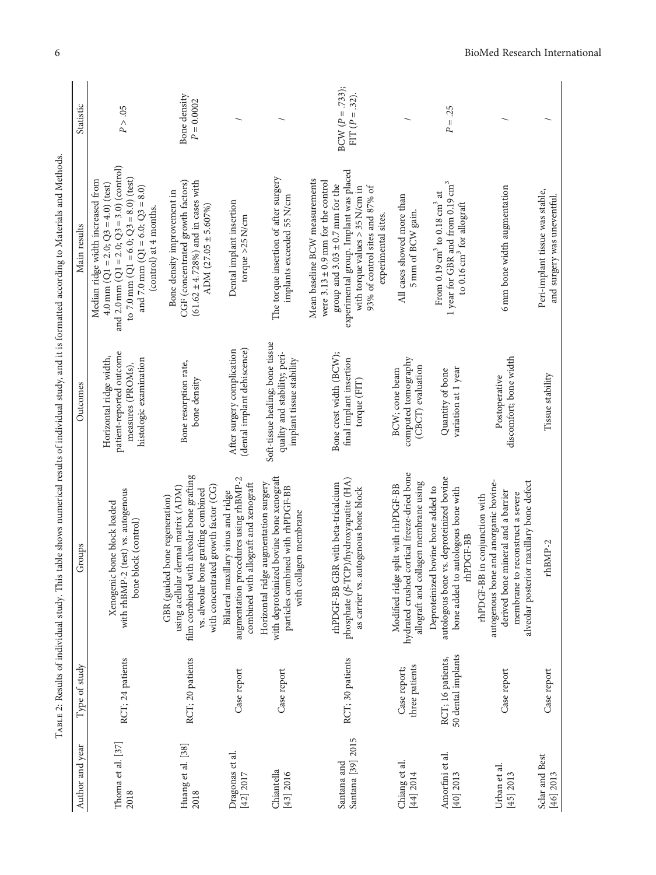|                                                                                                                                                      | Statistic       | P > .05                                                                                                                                                                                                                                                | Bone density<br>$P = 0.0002$                                                                                                                                                                      |                                                                                                                       |                                                                                                                                                  | $BCW (P = .733);$<br>FIT $(P = .32)$ .                                                                                                                                                                                                                 |                                                                                                                             | $P = .25$                                                                                                                            |                                                                                                                                                                                              |                                                                |
|------------------------------------------------------------------------------------------------------------------------------------------------------|-----------------|--------------------------------------------------------------------------------------------------------------------------------------------------------------------------------------------------------------------------------------------------------|---------------------------------------------------------------------------------------------------------------------------------------------------------------------------------------------------|-----------------------------------------------------------------------------------------------------------------------|--------------------------------------------------------------------------------------------------------------------------------------------------|--------------------------------------------------------------------------------------------------------------------------------------------------------------------------------------------------------------------------------------------------------|-----------------------------------------------------------------------------------------------------------------------------|--------------------------------------------------------------------------------------------------------------------------------------|----------------------------------------------------------------------------------------------------------------------------------------------------------------------------------------------|----------------------------------------------------------------|
|                                                                                                                                                      | Main results    | and 2.0 mm ( $Q1 = 2.0$ ; $Q3 = 3.0$ ) (control)<br>to 7.0 mm ( $Q1 = 6.0$ ; $Q3 = 8.0$ ) (test)<br>Median ridge width increased from<br>4.0 mm ( $Q1 = 2.0$ ; $Q3 = 4.0$ ) (test)<br>and 7.0 mm ( $Q1 = 6.0$ ; $Q3 = 8.0$ )<br>(control) at 4 months. | $(61.62 \pm 4.728%)$ and in cases with<br>CGF (concentrated growth factors)<br>Bone density improvement in<br>ADM $(27.05 \pm 5.607\%)$                                                           | Dental implant insertion<br>torque >25 N/cm                                                                           | The torque insertion of after surgery<br>implants exceeded 55 N/cm                                                                               | experimental group. Implant was placed<br>Mean baseline BCW measurements<br>were $3.13 \pm 0.9$ mm for the control<br>group and $3.03 \pm 0.7$ mm for the<br>93% of control sites and 87% of<br>with torque values > 35 N/cm in<br>experimental sites. | All cases showed more than<br>5 mm of BCW gain.                                                                             | 1 year for GBR and from 0.19 cm <sup>3</sup><br>From 0.19 cm $^3$ to 0.18 cm $^3$ at<br>to 0.16 cm <sup>3</sup> for allograft        | 6 mm bone width augmentation                                                                                                                                                                 | Peri-implant tissue was stable,<br>and surgery was uneventful. |
|                                                                                                                                                      | Outcomes        | patient-reported outcome<br>Horizontal ridge width,<br>histologic examination<br>measures (PROMs),                                                                                                                                                     | Bone resorption rate,<br>bone density                                                                                                                                                             | (dental implant dehiscence)<br>After surgery complication                                                             | Soft-tissue healing; bone tissue<br>quality and stability; peri-<br>implant tissue stability                                                     | Bone crest width (BCW);<br>final implant insertion<br>torque (FIT)                                                                                                                                                                                     | computed tomography<br>(CBCT) evaluation<br>BCW; cone beam                                                                  | variation at 1 year<br>Quantity of bone                                                                                              | discomfort; bone width<br>Postoperative                                                                                                                                                      | Tissue stability                                               |
| TABLE 2: Results of individual study. This table shows numerical results of individual study, and it is formatted according to Materials and Methods | Groups          | with rhBMP-2 (test) vs. autogenous<br>Xenogenic bone block loaded<br>bone block (control)                                                                                                                                                              | film combined with alveolar bone grafting<br>using acellular dermal matrix (ADM)<br>with concentrated growth factor (CG)<br>vs. alveolar bone grafting combined<br>GBR (guided bone regeneration) | augmentation procedures using rhBMP-2<br>combined with allograft and xenograft<br>Bilateral maxillary sinus and ridge | with deproteinized bovine bone xenograft<br>Horizontal ridge augmentation surgery<br>particles combined with rhPDGF-BB<br>with collagen membrane | phosphate ( $\beta$ -TCP)/hydroxyapatite (HA)<br>rhPDGF-BB GBR with beta-tricalcium<br>as carrier vs. autogenous bone block                                                                                                                            | hydrated crushed cortical freeze-dried bone<br>allograft and collagen membrane using<br>Modified ridge split with rhPDGF-BB | autologous bone vs. deproteinized bovine<br>Deproteinized bovine bone added to<br>autologous bone with<br>rhPDGF-BB<br>bone added to | autogenous bone and anorganic bovine-<br>alveolar posterior maxillary bone defect<br>derived bone mineral and a barrier<br>membrane to reconstruct a severe<br>rhPDGF-BB in conjunction with | rhBMP-2                                                        |
|                                                                                                                                                      | Type of study   | RCT; 24 patients                                                                                                                                                                                                                                       | RCT; 20 patients                                                                                                                                                                                  | Case report                                                                                                           | Case report                                                                                                                                      | RCT; 30 patients                                                                                                                                                                                                                                       | three patients<br>Case report;                                                                                              | 50 dental implants<br>RCT; 16 patients,                                                                                              | Case report                                                                                                                                                                                  | Case report                                                    |
|                                                                                                                                                      | Author and year | Thoma et al. [37]<br>2018                                                                                                                                                                                                                              | Huang et al. [38]<br>2018                                                                                                                                                                         | Dragonas et al.<br>[42] 2017                                                                                          | Chiantella<br>[43] 2016                                                                                                                          | Santana [39] 2015<br>Santana and                                                                                                                                                                                                                       | Chiang et al.<br>[44] 2014                                                                                                  | Amorfini et al.<br>[40] 2013                                                                                                         | Urban et al.<br>[45] 2013                                                                                                                                                                    | Sclar and Best<br>[46] 2013                                    |

<span id="page-5-0"></span>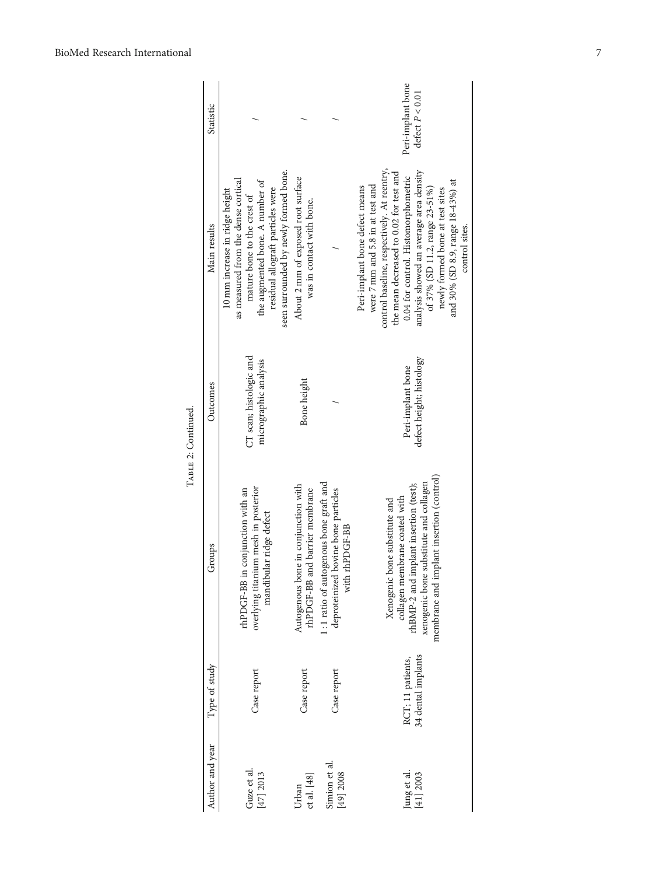|                    | Statistic       |                                                                                                                                                                                                                       |                                                                       |                                                                                                   | Peri-implant bone<br>defect $P < 0.01$                                                                                                                                                                                                                                                                                                                                     |
|--------------------|-----------------|-----------------------------------------------------------------------------------------------------------------------------------------------------------------------------------------------------------------------|-----------------------------------------------------------------------|---------------------------------------------------------------------------------------------------|----------------------------------------------------------------------------------------------------------------------------------------------------------------------------------------------------------------------------------------------------------------------------------------------------------------------------------------------------------------------------|
| TUPES 4, Outrigate | Main results    | seen surrounded by newly formed bone.<br>as measured from the dense cortical<br>the augmented bone. A number of<br>residual allograft particles were<br>10 mm increase in ridge height<br>mature bone to the crest of | About 2 mm of exposed root surface<br>was in contact with bone.       |                                                                                                   | control baseline, respectively. At reentry,<br>analysis showed an average area density<br>the mean decreased to 0.02 for test and<br>0.04 for control. Histomorphometric<br>and 30% (SD 8.9, range 18-43%) at<br>were 7 mm and 5.8 in at test and<br>Peri-implant bone defect means<br>of 37% (SD 11.2, range 23-51%)<br>newly formed bone at test sites<br>control sites. |
|                    | Outcomes        | CT scan; histologic and<br>micrographic analysis                                                                                                                                                                      | Bone height                                                           |                                                                                                   | defect height; histology<br>Peri-implant bone                                                                                                                                                                                                                                                                                                                              |
|                    | Groups          | overlying titanium mesh in posterior<br>rhPDGF-BB in conjunction with an<br>mandibular ridge defect                                                                                                                   | Autogenous bone in conjunction with<br>rhPDGF-BB and barrier membrane | $1:1$ ratio of autogenous bone graft and<br>deproteinized bovine bone particles<br>with rhPDGF-BB | membrane and implant insertion (control)<br>xenogenic bone substitute and collagen<br>rhBMP-2 and implant insertion (test);<br>collagen membrane coated with<br>Xenogenic bone substitute and                                                                                                                                                                              |
|                    | Type of study   | Case report                                                                                                                                                                                                           | Case report                                                           | Case report                                                                                       | 34 dental implants<br>RCT; 11 patients,                                                                                                                                                                                                                                                                                                                                    |
|                    | Author and year | Guze et al<br>[47] 2013                                                                                                                                                                                               | et al. [48]<br>Urban                                                  | Simion et al<br>[49] 2008                                                                         | Jung et al.<br>[41] 2003                                                                                                                                                                                                                                                                                                                                                   |

TABLE 2: Continued. TABLE 2: Continued.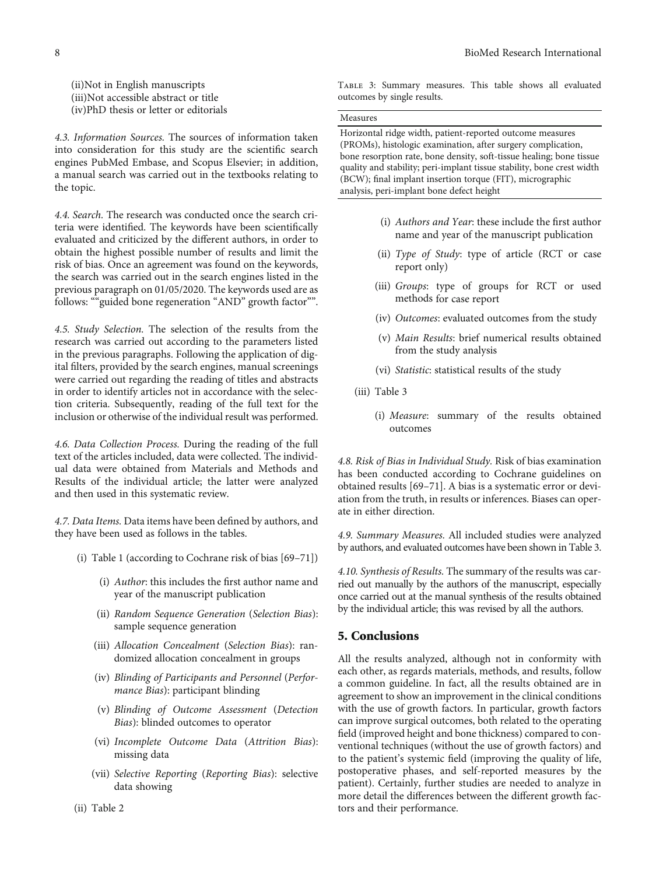(ii)Not in English manuscripts (iii)Not accessible abstract or title (iv)PhD thesis or letter or editorials

4.3. Information Sources. The sources of information taken into consideration for this study are the scientific search engines PubMed Embase, and Scopus Elsevier; in addition, a manual search was carried out in the textbooks relating to the topic.

4.4. Search. The research was conducted once the search criteria were identified. The keywords have been scientifically evaluated and criticized by the different authors, in order to obtain the highest possible number of results and limit the risk of bias. Once an agreement was found on the keywords, the search was carried out in the search engines listed in the previous paragraph on 01/05/2020. The keywords used are as follows: ""guided bone regeneration "AND" growth factor"".

4.5. Study Selection. The selection of the results from the research was carried out according to the parameters listed in the previous paragraphs. Following the application of digital filters, provided by the search engines, manual screenings were carried out regarding the reading of titles and abstracts in order to identify articles not in accordance with the selection criteria. Subsequently, reading of the full text for the inclusion or otherwise of the individual result was performed.

4.6. Data Collection Process. During the reading of the full text of the articles included, data were collected. The individual data were obtained from Materials and Methods and Results of the individual article; the latter were analyzed and then used in this systematic review.

4.7. Data Items. Data items have been defined by authors, and they have been used as follows in the tables.

- (i) Table [1](#page-2-0) (according to Cochrane risk of bias [[69](#page-10-0)–[71](#page-10-0)])
	- (i) Author: this includes the first author name and year of the manuscript publication
	- (ii) Random Sequence Generation (Selection Bias): sample sequence generation
	- (iii) Allocation Concealment (Selection Bias): randomized allocation concealment in groups
	- (iv) Blinding of Participants and Personnel (Performance Bias): participant blinding
	- (v) Blinding of Outcome Assessment (Detection Bias): blinded outcomes to operator
	- (vi) Incomplete Outcome Data (Attrition Bias): missing data
	- (vii) Selective Reporting (Reporting Bias): selective data showing

Table 3: Summary measures. This table shows all evaluated outcomes by single results.

#### Measures

Horizontal ridge width, patient-reported outcome measures (PROMs), histologic examination, after surgery complication, bone resorption rate, bone density, soft-tissue healing; bone tissue quality and stability; peri-implant tissue stability, bone crest width (BCW); final implant insertion torque (FIT), micrographic analysis, peri-implant bone defect height

- (i) Authors and Year: these include the first author name and year of the manuscript publication
- (ii) Type of Study: type of article (RCT or case report only)
- (iii) Groups: type of groups for RCT or used methods for case report
- (iv) Outcomes: evaluated outcomes from the study
- (v) Main Results: brief numerical results obtained from the study analysis
- (vi) Statistic: statistical results of the study
- (iii) Table 3
	- (i) Measure: summary of the results obtained outcomes

4.8. Risk of Bias in Individual Study. Risk of bias examination has been conducted according to Cochrane guidelines on obtained results [[69](#page-10-0)–[71](#page-10-0)]. A bias is a systematic error or deviation from the truth, in results or inferences. Biases can operate in either direction.

4.9. Summary Measures. All included studies were analyzed by authors, and evaluated outcomes have been shown in Table 3.

4.10. Synthesis of Results. The summary of the results was carried out manually by the authors of the manuscript, especially once carried out at the manual synthesis of the results obtained by the individual article; this was revised by all the authors.

### 5. Conclusions

All the results analyzed, although not in conformity with each other, as regards materials, methods, and results, follow a common guideline. In fact, all the results obtained are in agreement to show an improvement in the clinical conditions with the use of growth factors. In particular, growth factors can improve surgical outcomes, both related to the operating field (improved height and bone thickness) compared to conventional techniques (without the use of growth factors) and to the patient's systemic field (improving the quality of life, postoperative phases, and self-reported measures by the patient). Certainly, further studies are needed to analyze in more detail the differences between the different growth factors and their performance.

(ii) Table [2](#page-5-0)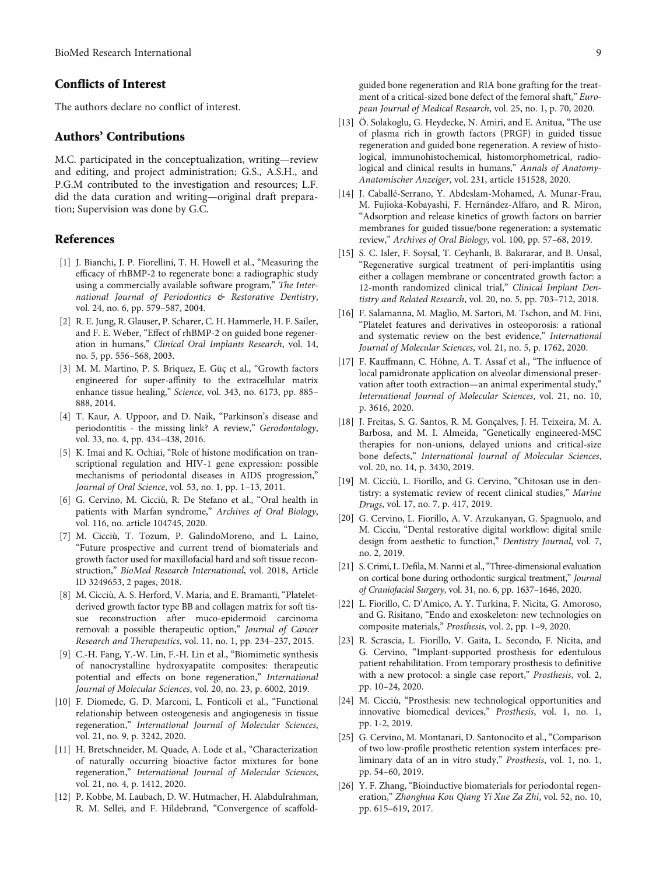## <span id="page-8-0"></span>Conflicts of Interest

The authors declare no conflict of interest.

#### Authors' Contributions

M.C. participated in the conceptualization, writing—review and editing, and project administration; G.S., A.S.H., and P.G.M contributed to the investigation and resources; L.F. did the data curation and writing—original draft preparation; Supervision was done by G.C.

### **References**

- [1] J. Bianchi, J. P. Fiorellini, T. H. Howell et al., "Measuring the efficacy of rhBMP-2 to regenerate bone: a radiographic study using a commercially available software program," The International Journal of Periodontics & Restorative Dentistry, vol. 24, no. 6, pp. 579–587, 2004.
- [2] R. E. Jung, R. Glauser, P. Scharer, C. H. Hammerle, H. F. Sailer, and F. E. Weber, "Effect of rhBMP-2 on guided bone regeneration in humans," Clinical Oral Implants Research, vol. 14, no. 5, pp. 556–568, 2003.
- [3] M. M. Martino, P. S. Briquez, E. Güç et al., "Growth factors engineered for super-affinity to the extracellular matrix enhance tissue healing," Science, vol. 343, no. 6173, pp. 885– 888, 2014.
- [4] T. Kaur, A. Uppoor, and D. Naik, "Parkinson's disease and periodontitis - the missing link? A review," Gerodontology, vol. 33, no. 4, pp. 434–438, 2016.
- [5] K. Imai and K. Ochiai, "Role of histone modification on transcriptional regulation and HIV-1 gene expression: possible mechanisms of periodontal diseases in AIDS progression," Journal of Oral Science, vol. 53, no. 1, pp. 1–13, 2011.
- [6] G. Cervino, M. Cicciù, R. De Stefano et al., "Oral health in patients with Marfan syndrome," Archives of Oral Biology, vol. 116, no. article 104745, 2020.
- [7] M. Cicciù, T. Tozum, P. GalindoMoreno, and L. Laino, "Future prospective and current trend of biomaterials and growth factor used for maxillofacial hard and soft tissue reconstruction," BioMed Research International, vol. 2018, Article ID 3249653, 2 pages, 2018.
- [8] M. Cicciù, A. S. Herford, V. Maria, and E. Bramanti, "Plateletderived growth factor type BB and collagen matrix for soft tissue reconstruction after muco-epidermoid carcinoma removal: a possible therapeutic option," Journal of Cancer Research and Therapeutics, vol. 11, no. 1, pp. 234–237, 2015.
- [9] C.-H. Fang, Y.-W. Lin, F.-H. Lin et al., "Biomimetic synthesis of nanocrystalline hydroxyapatite composites: therapeutic potential and effects on bone regeneration," International Journal of Molecular Sciences, vol. 20, no. 23, p. 6002, 2019.
- [10] F. Diomede, G. D. Marconi, L. Fonticoli et al., "Functional relationship between osteogenesis and angiogenesis in tissue regeneration," International Journal of Molecular Sciences, vol. 21, no. 9, p. 3242, 2020.
- [11] H. Bretschneider, M. Quade, A. Lode et al., "Characterization of naturally occurring bioactive factor mixtures for bone regeneration," International Journal of Molecular Sciences, vol. 21, no. 4, p. 1412, 2020.
- [12] P. Kobbe, M. Laubach, D. W. Hutmacher, H. Alabdulrahman, R. M. Sellei, and F. Hildebrand, "Convergence of scaffold-

guided bone regeneration and RIA bone grafting for the treatment of a critical-sized bone defect of the femoral shaft," European Journal of Medical Research, vol. 25, no. 1, p. 70, 2020.

- [13] Ö. Solakoglu, G. Heydecke, N. Amiri, and E. Anitua, "The use of plasma rich in growth factors (PRGF) in guided tissue regeneration and guided bone regeneration. A review of histological, immunohistochemical, histomorphometrical, radiological and clinical results in humans," Annals of Anatomy-Anatomischer Anzeiger, vol. 231, article 151528, 2020.
- [14] J. Caballé-Serrano, Y. Abdeslam-Mohamed, A. Munar-Frau, M. Fujioka-Kobayashi, F. Hernández-Alfaro, and R. Miron, "Adsorption and release kinetics of growth factors on barrier membranes for guided tissue/bone regeneration: a systematic review," Archives of Oral Biology, vol. 100, pp. 57–68, 2019.
- [15] S. C. Isler, F. Soysal, T. Ceyhanlı, B. Bakırarar, and B. Unsal, "Regenerative surgical treatment of peri-implantitis using either a collagen membrane or concentrated growth factor: a 12-month randomized clinical trial," Clinical Implant Dentistry and Related Research, vol. 20, no. 5, pp. 703–712, 2018.
- [16] F. Salamanna, M. Maglio, M. Sartori, M. Tschon, and M. Fini, "Platelet features and derivatives in osteoporosis: a rational and systematic review on the best evidence," International Journal of Molecular Sciences, vol. 21, no. 5, p. 1762, 2020.
- [17] F. Kauffmann, C. Höhne, A. T. Assaf et al., "The influence of local pamidronate application on alveolar dimensional preservation after tooth extraction—an animal experimental study," International Journal of Molecular Sciences, vol. 21, no. 10, p. 3616, 2020.
- [18] J. Freitas, S. G. Santos, R. M. Gonçalves, J. H. Teixeira, M. A. Barbosa, and M. I. Almeida, "Genetically engineered-MSC therapies for non-unions, delayed unions and critical-size bone defects," International Journal of Molecular Sciences, vol. 20, no. 14, p. 3430, 2019.
- [19] M. Cicciù, L. Fiorillo, and G. Cervino, "Chitosan use in dentistry: a systematic review of recent clinical studies," Marine Drugs, vol. 17, no. 7, p. 417, 2019.
- [20] G. Cervino, L. Fiorillo, A. V. Arzukanyan, G. Spagnuolo, and M. Cicciu, "Dental restorative digital workflow: digital smile design from aesthetic to function," Dentistry Journal, vol. 7, no. 2, 2019.
- [21] S. Crimi, L. Defila, M. Nanni et al.,"Three-dimensional evaluation on cortical bone during orthodontic surgical treatment," Journal of Craniofacial Surgery, vol. 31, no. 6, pp. 1637–1646, 2020.
- [22] L. Fiorillo, C. D'Amico, A. Y. Turkina, F. Nicita, G. Amoroso, and G. Risitano, "Endo and exoskeleton: new technologies on composite materials," Prosthesis, vol. 2, pp. 1–9, 2020.
- [23] R. Scrascia, L. Fiorillo, V. Gaita, L. Secondo, F. Nicita, and G. Cervino, "Implant-supported prosthesis for edentulous patient rehabilitation. From temporary prosthesis to definitive with a new protocol: a single case report," Prosthesis, vol. 2, pp. 10–24, 2020.
- [24] M. Cicciù, "Prosthesis: new technological opportunities and innovative biomedical devices," Prosthesis, vol. 1, no. 1, pp. 1-2, 2019.
- [25] G. Cervino, M. Montanari, D. Santonocito et al., "Comparison of two low-profile prosthetic retention system interfaces: preliminary data of an in vitro study," Prosthesis, vol. 1, no. 1, pp. 54–60, 2019.
- [26] Y. F. Zhang, "Bioinductive biomaterials for periodontal regeneration," Zhonghua Kou Qiang Yi Xue Za Zhi, vol. 52, no. 10, pp. 615–619, 2017.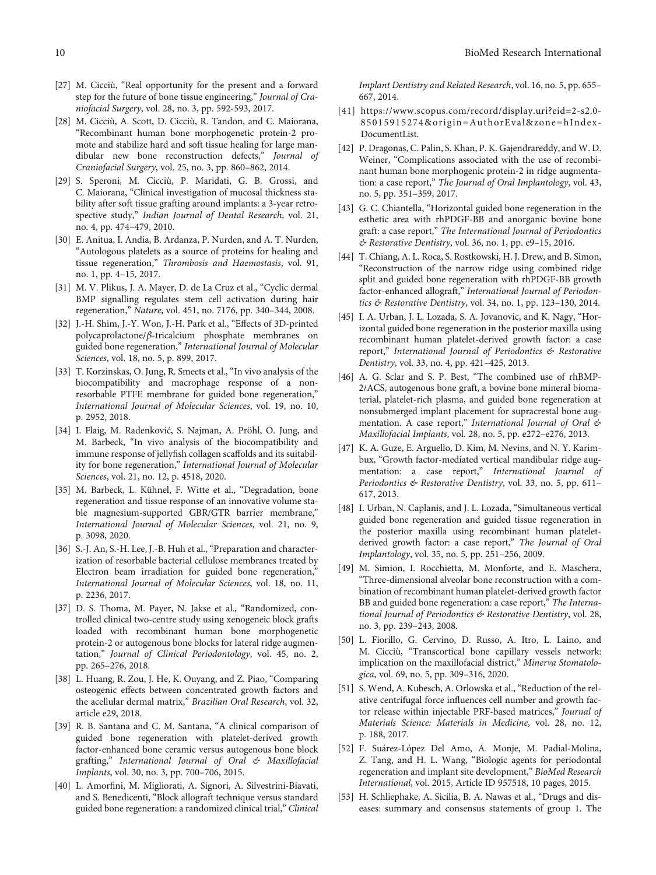- <span id="page-9-0"></span>[27] M. Cicciù, "Real opportunity for the present and a forward step for the future of bone tissue engineering," Journal of Craniofacial Surgery, vol. 28, no. 3, pp. 592-593, 2017.
- [28] M. Cicciù, A. Scott, D. Cicciù, R. Tandon, and C. Maiorana, "Recombinant human bone morphogenetic protein-2 promote and stabilize hard and soft tissue healing for large mandibular new bone reconstruction defects," Journal of Craniofacial Surgery, vol. 25, no. 3, pp. 860–862, 2014.
- [29] S. Speroni, M. Cicciù, P. Maridati, G. B. Grossi, and C. Maiorana, "Clinical investigation of mucosal thickness stability after soft tissue grafting around implants: a 3-year retrospective study," Indian Journal of Dental Research, vol. 21, no. 4, pp. 474–479, 2010.
- [30] E. Anitua, I. Andia, B. Ardanza, P. Nurden, and A. T. Nurden, "Autologous platelets as a source of proteins for healing and tissue regeneration," Thrombosis and Haemostasis, vol. 91, no. 1, pp. 4–15, 2017.
- [31] M. V. Plikus, J. A. Mayer, D. de La Cruz et al., "Cyclic dermal BMP signalling regulates stem cell activation during hair regeneration," Nature, vol. 451, no. 7176, pp. 340–344, 2008.
- [32] J.-H. Shim, J.-Y. Won, J.-H. Park et al., "Effects of 3D-printed polycaprolactone/*β*-tricalcium phosphate membranes on guided bone regeneration," International Journal of Molecular Sciences, vol. 18, no. 5, p. 899, 2017.
- [33] T. Korzinskas, O. Jung, R. Smeets et al., "In vivo analysis of the biocompatibility and macrophage response of a nonresorbable PTFE membrane for guided bone regeneration," International Journal of Molecular Sciences, vol. 19, no. 10, p. 2952, 2018.
- [34] I. Flaig, M. Radenković, S. Najman, A. Pröhl, O. Jung, and M. Barbeck, "In vivo analysis of the biocompatibility and immune response of jellyfish collagen scaffolds and its suitability for bone regeneration," International Journal of Molecular Sciences, vol. 21, no. 12, p. 4518, 2020.
- [35] M. Barbeck, L. Kühnel, F. Witte et al., "Degradation, bone regeneration and tissue response of an innovative volume stable magnesium-supported GBR/GTR barrier membrane," International Journal of Molecular Sciences, vol. 21, no. 9, p. 3098, 2020.
- [36] S.-J. An, S.-H. Lee, J.-B. Huh et al., "Preparation and characterization of resorbable bacterial cellulose membranes treated by Electron beam irradiation for guided bone regeneration," International Journal of Molecular Sciences, vol. 18, no. 11, p. 2236, 2017.
- [37] D. S. Thoma, M. Payer, N. Jakse et al., "Randomized, controlled clinical two-centre study using xenogeneic block grafts loaded with recombinant human bone morphogenetic protein-2 or autogenous bone blocks for lateral ridge augmentation," Journal of Clinical Periodontology, vol. 45, no. 2, pp. 265–276, 2018.
- [38] L. Huang, R. Zou, J. He, K. Ouyang, and Z. Piao, "Comparing osteogenic effects between concentrated growth factors and the acellular dermal matrix," Brazilian Oral Research, vol. 32, article e29, 2018.
- [39] R. B. Santana and C. M. Santana, "A clinical comparison of guided bone regeneration with platelet-derived growth factor-enhanced bone ceramic versus autogenous bone block grafting," International Journal of Oral & Maxillofacial Implants, vol. 30, no. 3, pp. 700–706, 2015.
- [40] L. Amorfini, M. Migliorati, A. Signori, A. Silvestrini-Biavati, and S. Benedicenti, "Block allograft technique versus standard guided bone regeneration: a randomized clinical trial," Clinical

Implant Dentistry and Related Research, vol. 16, no. 5, pp. 655– 667, 2014.

- [41] [https://www.scopus.com/record/display.uri?eid=2-s2.0-](https://www.scopus.com/record/display.uri?eid=2-s2.0-85015915274&origin=AuthorEval&zone=hIndex-DocumentList) [85015915274&origin=AuthorEval&zone=hIndex-](https://www.scopus.com/record/display.uri?eid=2-s2.0-85015915274&origin=AuthorEval&zone=hIndex-DocumentList)[DocumentList](https://www.scopus.com/record/display.uri?eid=2-s2.0-85015915274&origin=AuthorEval&zone=hIndex-DocumentList).
- [42] P. Dragonas, C. Palin, S. Khan, P. K. Gajendrareddy, and W. D. Weiner, "Complications associated with the use of recombinant human bone morphogenic protein-2 in ridge augmentation: a case report," The Journal of Oral Implantology, vol. 43, no. 5, pp. 351–359, 2017.
- [43] G. C. Chiantella, "Horizontal guided bone regeneration in the esthetic area with rhPDGF-BB and anorganic bovine bone graft: a case report," The International Journal of Periodontics & Restorative Dentistry, vol. 36, no. 1, pp. e9–15, 2016.
- [44] T. Chiang, A. L. Roca, S. Rostkowski, H. J. Drew, and B. Simon, "Reconstruction of the narrow ridge using combined ridge split and guided bone regeneration with rhPDGF-BB growth factor-enhanced allograft," International Journal of Periodontics & Restorative Dentistry, vol. 34, no. 1, pp. 123–130, 2014.
- [45] I. A. Urban, J. L. Lozada, S. A. Jovanovic, and K. Nagy, "Horizontal guided bone regeneration in the posterior maxilla using recombinant human platelet-derived growth factor: a case report," International Journal of Periodontics & Restorative Dentistry, vol. 33, no. 4, pp. 421–425, 2013.
- [46] A. G. Sclar and S. P. Best, "The combined use of rhBMP-2/ACS, autogenous bone graft, a bovine bone mineral biomaterial, platelet-rich plasma, and guided bone regeneration at nonsubmerged implant placement for supracrestal bone augmentation. A case report," International Journal of Oral & Maxillofacial Implants, vol. 28, no. 5, pp. e272–e276, 2013.
- [47] K. A. Guze, E. Arguello, D. Kim, M. Nevins, and N. Y. Karimbux, "Growth factor-mediated vertical mandibular ridge augmentation: a case report," International Journal of Periodontics & Restorative Dentistry, vol. 33, no. 5, pp. 611– 617, 2013.
- [48] I. Urban, N. Caplanis, and J. L. Lozada, "Simultaneous vertical guided bone regeneration and guided tissue regeneration in the posterior maxilla using recombinant human plateletderived growth factor: a case report," The Journal of Oral Implantology, vol. 35, no. 5, pp. 251–256, 2009.
- [49] M. Simion, I. Rocchietta, M. Monforte, and E. Maschera, "Three-dimensional alveolar bone reconstruction with a combination of recombinant human platelet-derived growth factor BB and guided bone regeneration: a case report," The International Journal of Periodontics & Restorative Dentistry, vol. 28, no. 3, pp. 239–243, 2008.
- [50] L. Fiorillo, G. Cervino, D. Russo, A. Itro, L. Laino, and M. Cicciù, "Transcortical bone capillary vessels network: implication on the maxillofacial district," Minerva Stomatologica, vol. 69, no. 5, pp. 309–316, 2020.
- [51] S. Wend, A. Kubesch, A. Orlowska et al., "Reduction of the relative centrifugal force influences cell number and growth factor release within injectable PRF-based matrices," Journal of Materials Science: Materials in Medicine, vol. 28, no. 12, p. 188, 2017.
- [52] F. Suárez-López Del Amo, A. Monje, M. Padial-Molina, Z. Tang, and H. L. Wang, "Biologic agents for periodontal regeneration and implant site development," BioMed Research International, vol. 2015, Article ID 957518, 10 pages, 2015.
- [53] H. Schliephake, A. Sicilia, B. A. Nawas et al., "Drugs and diseases: summary and consensus statements of group 1. The